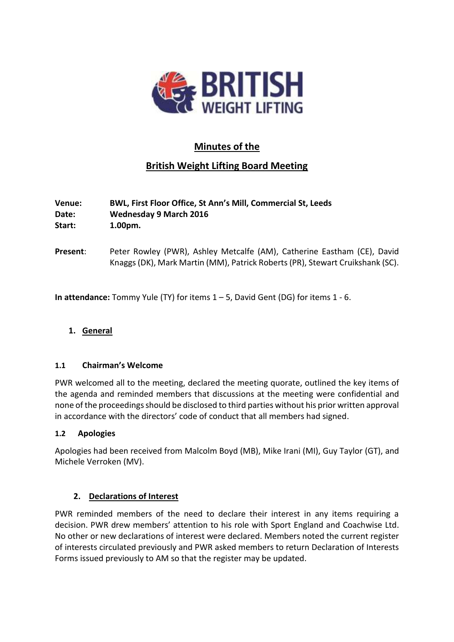

# **Minutes of the**

# **British Weight Lifting Board Meeting**

| Venue:   | <b>BWL, First Floor Office, St Ann's Mill, Commercial St, Leeds</b>                                                                                      |
|----------|----------------------------------------------------------------------------------------------------------------------------------------------------------|
| Date:    | <b>Wednesday 9 March 2016</b>                                                                                                                            |
| Start:   | $1.00pm$ .                                                                                                                                               |
| Present: | Peter Rowley (PWR), Ashley Metcalfe (AM), Catherine Eastham (CE), David<br>Knaggs (DK), Mark Martin (MM), Patrick Roberts (PR), Stewart Cruikshank (SC). |

**In attendance:** Tommy Yule (TY) for items 1 – 5, David Gent (DG) for items 1 - 6.

## **1. General**

## **1.1 Chairman's Welcome**

PWR welcomed all to the meeting, declared the meeting quorate, outlined the key items of the agenda and reminded members that discussions at the meeting were confidential and none of the proceedings should be disclosed to third parties without his prior written approval in accordance with the directors' code of conduct that all members had signed.

## **1.2 Apologies**

Apologies had been received from Malcolm Boyd (MB), Mike Irani (MI), Guy Taylor (GT), and Michele Verroken (MV).

## **2. Declarations of Interest**

PWR reminded members of the need to declare their interest in any items requiring a decision. PWR drew members' attention to his role with Sport England and Coachwise Ltd. No other or new declarations of interest were declared. Members noted the current register of interests circulated previously and PWR asked members to return Declaration of Interests Forms issued previously to AM so that the register may be updated.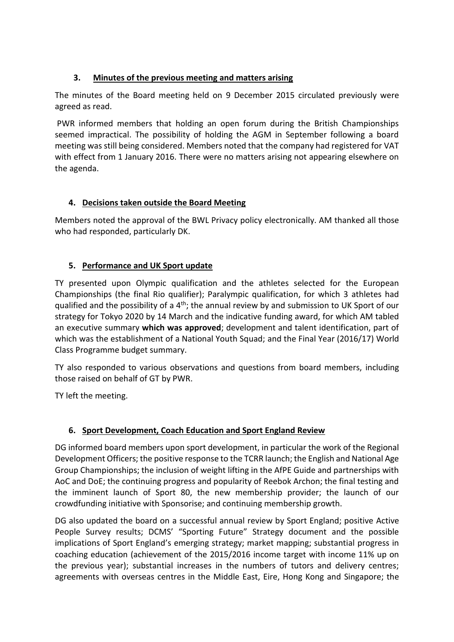## **3. Minutes of the previous meeting and matters arising**

The minutes of the Board meeting held on 9 December 2015 circulated previously were agreed as read.

PWR informed members that holding an open forum during the British Championships seemed impractical. The possibility of holding the AGM in September following a board meeting was still being considered. Members noted that the company had registered for VAT with effect from 1 January 2016. There were no matters arising not appearing elsewhere on the agenda.

## **4. Decisions taken outside the Board Meeting**

Members noted the approval of the BWL Privacy policy electronically. AM thanked all those who had responded, particularly DK.

## **5. Performance and UK Sport update**

TY presented upon Olympic qualification and the athletes selected for the European Championships (the final Rio qualifier); Paralympic qualification, for which 3 athletes had qualified and the possibility of a 4<sup>th</sup>; the annual review by and submission to UK Sport of our strategy for Tokyo 2020 by 14 March and the indicative funding award, for which AM tabled an executive summary **which was approved**; development and talent identification, part of which was the establishment of a National Youth Squad; and the Final Year (2016/17) World Class Programme budget summary.

TY also responded to various observations and questions from board members, including those raised on behalf of GT by PWR.

TY left the meeting.

## **6. Sport Development, Coach Education and Sport England Review**

DG informed board members upon sport development, in particular the work of the Regional Development Officers; the positive response to the TCRR launch; the English and National Age Group Championships; the inclusion of weight lifting in the AfPE Guide and partnerships with AoC and DoE; the continuing progress and popularity of Reebok Archon; the final testing and the imminent launch of Sport 80, the new membership provider; the launch of our crowdfunding initiative with Sponsorise; and continuing membership growth.

DG also updated the board on a successful annual review by Sport England; positive Active People Survey results; DCMS' "Sporting Future" Strategy document and the possible implications of Sport England's emerging strategy; market mapping; substantial progress in coaching education (achievement of the 2015/2016 income target with income 11% up on the previous year); substantial increases in the numbers of tutors and delivery centres; agreements with overseas centres in the Middle East, Eire, Hong Kong and Singapore; the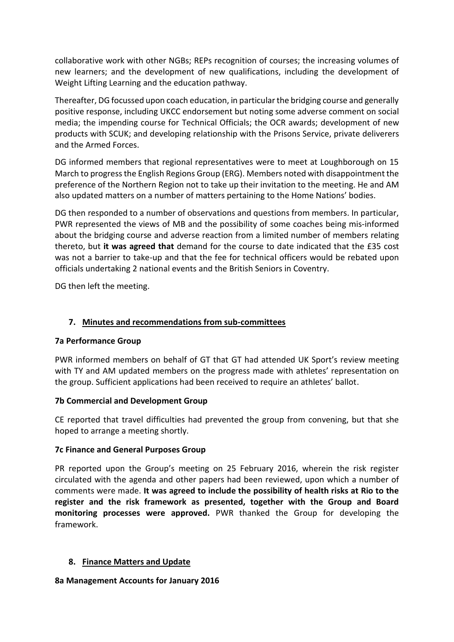collaborative work with other NGBs; REPs recognition of courses; the increasing volumes of new learners; and the development of new qualifications, including the development of Weight Lifting Learning and the education pathway.

Thereafter, DG focussed upon coach education, in particular the bridging course and generally positive response, including UKCC endorsement but noting some adverse comment on social media; the impending course for Technical Officials; the OCR awards; development of new products with SCUK; and developing relationship with the Prisons Service, private deliverers and the Armed Forces.

DG informed members that regional representatives were to meet at Loughborough on 15 March to progress the English Regions Group (ERG). Members noted with disappointment the preference of the Northern Region not to take up their invitation to the meeting. He and AM also updated matters on a number of matters pertaining to the Home Nations' bodies.

DG then responded to a number of observations and questions from members. In particular, PWR represented the views of MB and the possibility of some coaches being mis-informed about the bridging course and adverse reaction from a limited number of members relating thereto, but **it was agreed that** demand for the course to date indicated that the £35 cost was not a barrier to take-up and that the fee for technical officers would be rebated upon officials undertaking 2 national events and the British Seniors in Coventry.

DG then left the meeting.

## **7. Minutes and recommendations from sub-committees**

#### **7a Performance Group**

PWR informed members on behalf of GT that GT had attended UK Sport's review meeting with TY and AM updated members on the progress made with athletes' representation on the group. Sufficient applications had been received to require an athletes' ballot.

## **7b Commercial and Development Group**

CE reported that travel difficulties had prevented the group from convening, but that she hoped to arrange a meeting shortly.

#### **7c Finance and General Purposes Group**

PR reported upon the Group's meeting on 25 February 2016, wherein the risk register circulated with the agenda and other papers had been reviewed, upon which a number of comments were made. **It was agreed to include the possibility of health risks at Rio to the register and the risk framework as presented, together with the Group and Board monitoring processes were approved.** PWR thanked the Group for developing the framework.

## **8. Finance Matters and Update**

**8a Management Accounts for January 2016**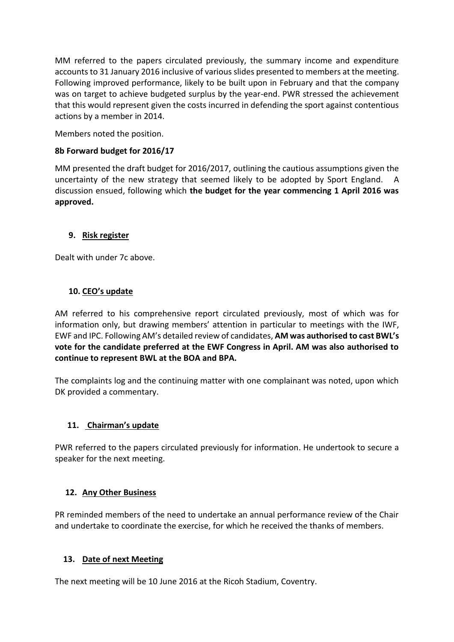MM referred to the papers circulated previously, the summary income and expenditure accounts to 31 January 2016 inclusive of various slides presented to members at the meeting. Following improved performance, likely to be built upon in February and that the company was on target to achieve budgeted surplus by the year-end. PWR stressed the achievement that this would represent given the costs incurred in defending the sport against contentious actions by a member in 2014.

Members noted the position.

## **8b Forward budget for 2016/17**

MM presented the draft budget for 2016/2017, outlining the cautious assumptions given the uncertainty of the new strategy that seemed likely to be adopted by Sport England. A discussion ensued, following which **the budget for the year commencing 1 April 2016 was approved.** 

#### **9. Risk register**

Dealt with under 7c above.

#### **10. CEO's update**

AM referred to his comprehensive report circulated previously, most of which was for information only, but drawing members' attention in particular to meetings with the IWF, EWF and IPC. Following AM's detailed review of candidates, **AM was authorised to cast BWL's vote for the candidate preferred at the EWF Congress in April. AM was also authorised to continue to represent BWL at the BOA and BPA.**

The complaints log and the continuing matter with one complainant was noted, upon which DK provided a commentary.

## **11. Chairman's update**

PWR referred to the papers circulated previously for information. He undertook to secure a speaker for the next meeting.

## **12. Any Other Business**

PR reminded members of the need to undertake an annual performance review of the Chair and undertake to coordinate the exercise, for which he received the thanks of members.

## **13. Date of next Meeting**

The next meeting will be 10 June 2016 at the Ricoh Stadium, Coventry.